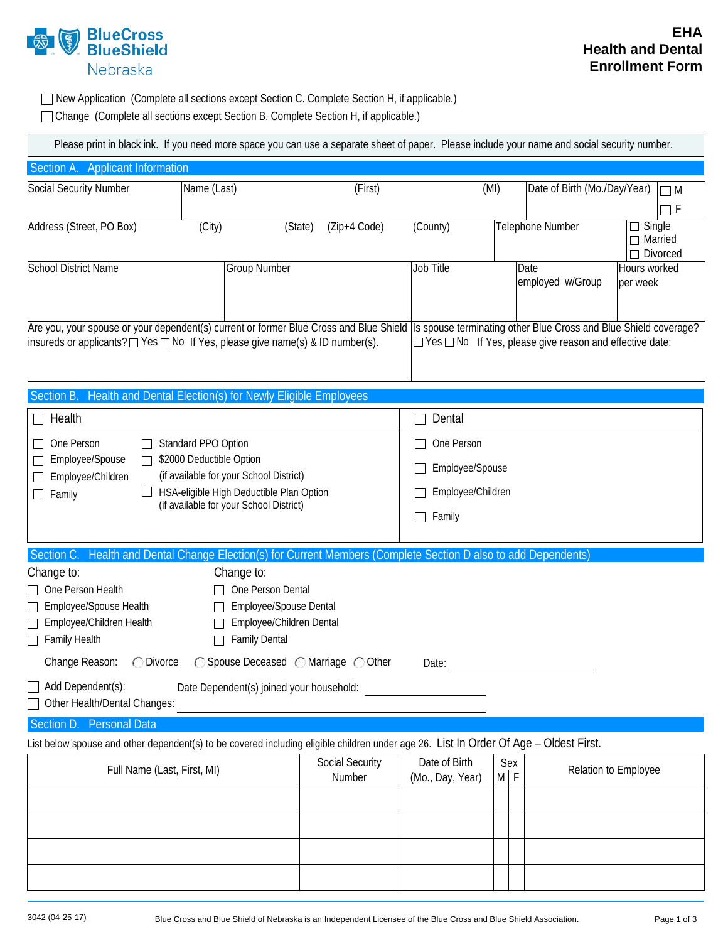

□ New Application (Complete all sections except Section C. Complete Section H, if applicable.) Change (Complete all sections except Section B. Complete Section H, if applicable.)

|  | Please print in black ink. If you need more space you can use a separate sheet of paper. Please include your name and social security number. |  |
|--|-----------------------------------------------------------------------------------------------------------------------------------------------|--|
|  |                                                                                                                                               |  |

| Section A. Applicant Information                                                                                                                                                                                                                    |                                                                                                               |                           |                   |                                   |                   |                                                           |                               |  |
|-----------------------------------------------------------------------------------------------------------------------------------------------------------------------------------------------------------------------------------------------------|---------------------------------------------------------------------------------------------------------------|---------------------------|-------------------|-----------------------------------|-------------------|-----------------------------------------------------------|-------------------------------|--|
| Social Security Number                                                                                                                                                                                                                              | Name (Last)                                                                                                   |                           | (First)           | (MI)                              |                   | Date of Birth (Mo./Day/Year)                              | $\Box$ M                      |  |
|                                                                                                                                                                                                                                                     |                                                                                                               |                           |                   |                                   |                   |                                                           | $\Box$ F                      |  |
| Address (Street, PO Box)                                                                                                                                                                                                                            | (City)                                                                                                        | (Zip+4 Code)<br>(State)   | (County)          |                                   |                   | Telephone Number                                          | Single<br>Married<br>Divorced |  |
| <b>School District Name</b>                                                                                                                                                                                                                         | <b>Group Number</b>                                                                                           |                           | Job Title         |                                   |                   | Date<br>employed w/Group                                  | Hours worked<br>per week      |  |
| Are you, your spouse or your dependent(s) current or former Blue Cross and Blue Shield Is spouse terminating other Blue Cross and Blue Shield coverage?<br>insureds or applicants? $\Box$ Yes $\Box$ No If Yes, please give name(s) & ID number(s). |                                                                                                               |                           |                   |                                   |                   | □ Yes □ No If Yes, please give reason and effective date: |                               |  |
| Section B.                                                                                                                                                                                                                                          | Health and Dental Election(s) for Newly Eligible Employees                                                    |                           |                   |                                   |                   |                                                           |                               |  |
| Health<br>П                                                                                                                                                                                                                                         |                                                                                                               |                           | $\Box$            | Dental                            |                   |                                                           |                               |  |
| One Person                                                                                                                                                                                                                                          | Standard PPO Option                                                                                           |                           |                   | One Person                        |                   |                                                           |                               |  |
| Employee/Spouse                                                                                                                                                                                                                                     | \$2000 Deductible Option<br>(if available for your School District)                                           |                           |                   | Employee/Spouse                   |                   |                                                           |                               |  |
| Employee/Children<br>Family<br>$\Box$                                                                                                                                                                                                               | HSA-eligible High Deductible Plan Option                                                                      |                           |                   | Employee/Children                 |                   |                                                           |                               |  |
| (if available for your School District)                                                                                                                                                                                                             |                                                                                                               |                           | $\vert \ \ \vert$ | Family                            |                   |                                                           |                               |  |
| Section C. Health and Dental Change Election(s) for Current Members (Complete Section D also to add Dependents)                                                                                                                                     |                                                                                                               |                           |                   |                                   |                   |                                                           |                               |  |
| Change to:<br>One Person Health<br>Employee/Spouse Health<br>Employee/Children Health<br>Family Health<br>$\Box$                                                                                                                                    | Change to:<br>One Person Dental<br>Employee/Spouse Dental<br>Employee/Children Dental<br><b>Family Dental</b> |                           |                   |                                   |                   |                                                           |                               |  |
| Change Reason:<br>◯ Spouse Deceased ◯ Marriage ◯ Other<br>$\bigcirc$ Divorce<br>Date:                                                                                                                                                               |                                                                                                               |                           |                   |                                   |                   |                                                           |                               |  |
| Add Dependent(s):<br>Date Dependent(s) joined your household:<br>Other Health/Dental Changes:                                                                                                                                                       |                                                                                                               |                           |                   |                                   |                   |                                                           |                               |  |
| <b>Personal Data</b><br>Section D.                                                                                                                                                                                                                  |                                                                                                               |                           |                   |                                   |                   |                                                           |                               |  |
| List below spouse and other dependent(s) to be covered including eligible children under age 26. List In Order Of Age - Oldest First.                                                                                                               |                                                                                                               |                           |                   |                                   |                   |                                                           |                               |  |
| Full Name (Last, First, MI)                                                                                                                                                                                                                         |                                                                                                               | Social Security<br>Number |                   | Date of Birth<br>(Mo., Day, Year) | Sex<br>$M \mid F$ |                                                           | Relation to Employee          |  |
|                                                                                                                                                                                                                                                     |                                                                                                               |                           |                   |                                   |                   |                                                           |                               |  |
|                                                                                                                                                                                                                                                     |                                                                                                               |                           |                   |                                   |                   |                                                           |                               |  |
|                                                                                                                                                                                                                                                     |                                                                                                               |                           |                   |                                   |                   |                                                           |                               |  |
|                                                                                                                                                                                                                                                     |                                                                                                               |                           |                   |                                   |                   |                                                           |                               |  |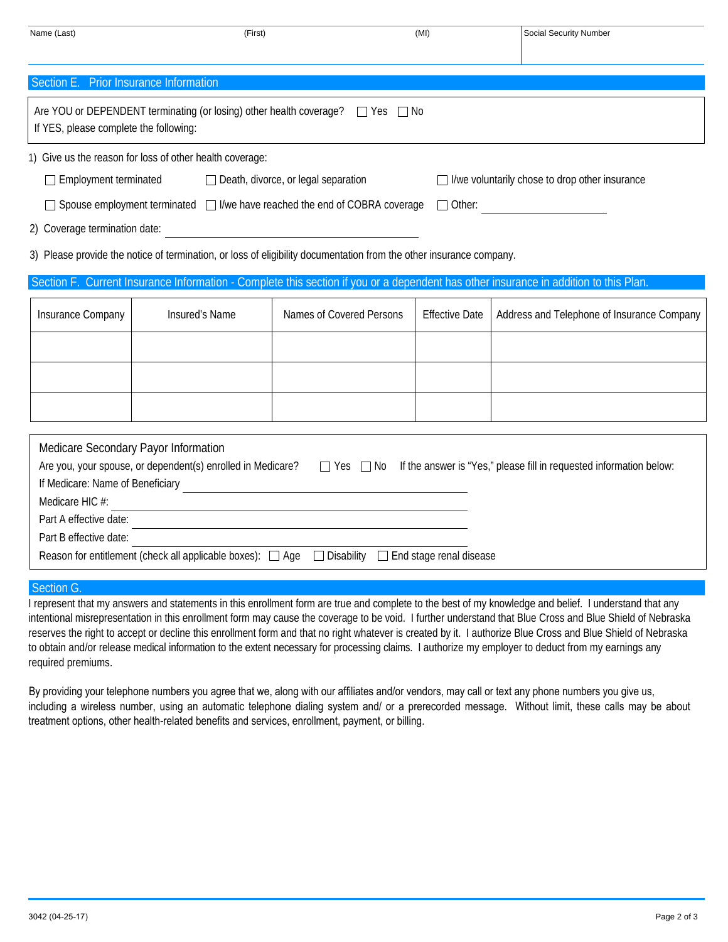| Name (Last)                                                                                                                                                                                                                                                                                                                                                                                                                                                                                                                                                                                                                                                                                              | (First)        |                          | (MI)                  | <b>Social Security Number</b>              |  |
|----------------------------------------------------------------------------------------------------------------------------------------------------------------------------------------------------------------------------------------------------------------------------------------------------------------------------------------------------------------------------------------------------------------------------------------------------------------------------------------------------------------------------------------------------------------------------------------------------------------------------------------------------------------------------------------------------------|----------------|--------------------------|-----------------------|--------------------------------------------|--|
| Section E. Prior Insurance Information                                                                                                                                                                                                                                                                                                                                                                                                                                                                                                                                                                                                                                                                   |                |                          |                       |                                            |  |
| Are YOU or DEPENDENT terminating (or losing) other health coverage?<br>$\Box$ Yes $\Box$ No<br>If YES, please complete the following:                                                                                                                                                                                                                                                                                                                                                                                                                                                                                                                                                                    |                |                          |                       |                                            |  |
| 1) Give us the reason for loss of other health coverage:<br>$\Box$ Employment terminated<br>Death, divorce, or legal separation<br>$\Box$ I/we voluntarily chose to drop other insurance<br>□ Spouse employment terminated □ I/we have reached the end of COBRA coverage<br>$\Box$ Other:<br>2) Coverage termination date:<br>3) Please provide the notice of termination, or loss of eligibility documentation from the other insurance company.<br>Section F. Current Insurance Information - Complete this section if you or a dependent has other insurance in addition to this Plan                                                                                                                 |                |                          |                       |                                            |  |
| Insurance Company                                                                                                                                                                                                                                                                                                                                                                                                                                                                                                                                                                                                                                                                                        | Insured's Name | Names of Covered Persons | <b>Effective Date</b> | Address and Telephone of Insurance Company |  |
|                                                                                                                                                                                                                                                                                                                                                                                                                                                                                                                                                                                                                                                                                                          |                |                          |                       |                                            |  |
| Medicare Secondary Payor Information<br>Are you, your spouse, or dependent(s) enrolled in Medicare?<br>Tes  Tes  No If the answer is "Yes," please fill in requested information below:<br>If Medicare: Name of Beneficiary <b>Constant Construct Constant Constant Constant Constant Constant Constant Constant Constant Constant Constant Constant Constant Constant Constant Constant Constant Constant Constant Constan</b><br>Medicare HIC #:<br>Part A effective date:<br>the control of the control of the control of the control of the control of the control of<br>Part B effective date:<br>Reason for entitlement (check all applicable boxes): □ Age □ Disability □ End stage renal disease |                |                          |                       |                                            |  |

## Section G.

I represent that my answers and statements in this enrollment form are true and complete to the best of my knowledge and belief. I understand that any intentional misrepresentation in this enrollment form may cause the coverage to be void. I further understand that Blue Cross and Blue Shield of Nebraska reserves the right to accept or decline this enrollment form and that no right whatever is created by it. I authorize Blue Cross and Blue Shield of Nebraska to obtain and/or release medical information to the extent necessary for processing claims. I authorize my employer to deduct from my earnings any required premiums.

By providing your telephone numbers you agree that we, along with our affiliates and/or vendors, may call or text any phone numbers you give us, including a wireless number, using an automatic telephone dialing system and/ or a prerecorded message. Without limit, these calls may be about treatment options, other health-related benefits and services, enrollment, payment, or billing.